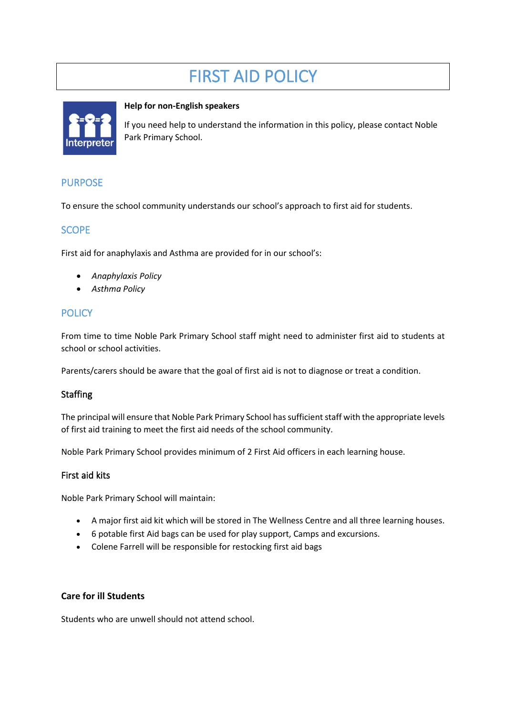# FIRST AID POLICY



#### **Help for non-English speakers**

If you need help to understand the information in this policy, please contact Noble Park Primary School.

# PURPOSE

To ensure the school community understands our school's approach to first aid for students.

# **SCOPE**

First aid for anaphylaxis and Asthma are provided for in our school's:

- *Anaphylaxis Policy*
- *Asthma Policy*

# **POLICY**

From time to time Noble Park Primary School staff might need to administer first aid to students at school or school activities.

Parents/carers should be aware that the goal of first aid is not to diagnose or treat a condition.

#### **Staffing**

The principal will ensure that Noble Park Primary School has sufficient staff with the appropriate levels of first aid training to meet the first aid needs of the school community.

Noble Park Primary School provides minimum of 2 First Aid officers in each learning house.

#### First aid kits

Noble Park Primary School will maintain:

- A major first aid kit which will be stored in The Wellness Centre and all three learning houses.
- 6 potable first Aid bags can be used for play support, Camps and excursions.
- Colene Farrell will be responsible for restocking first aid bags

#### **Care for ill Students**

Students who are unwell should not attend school.